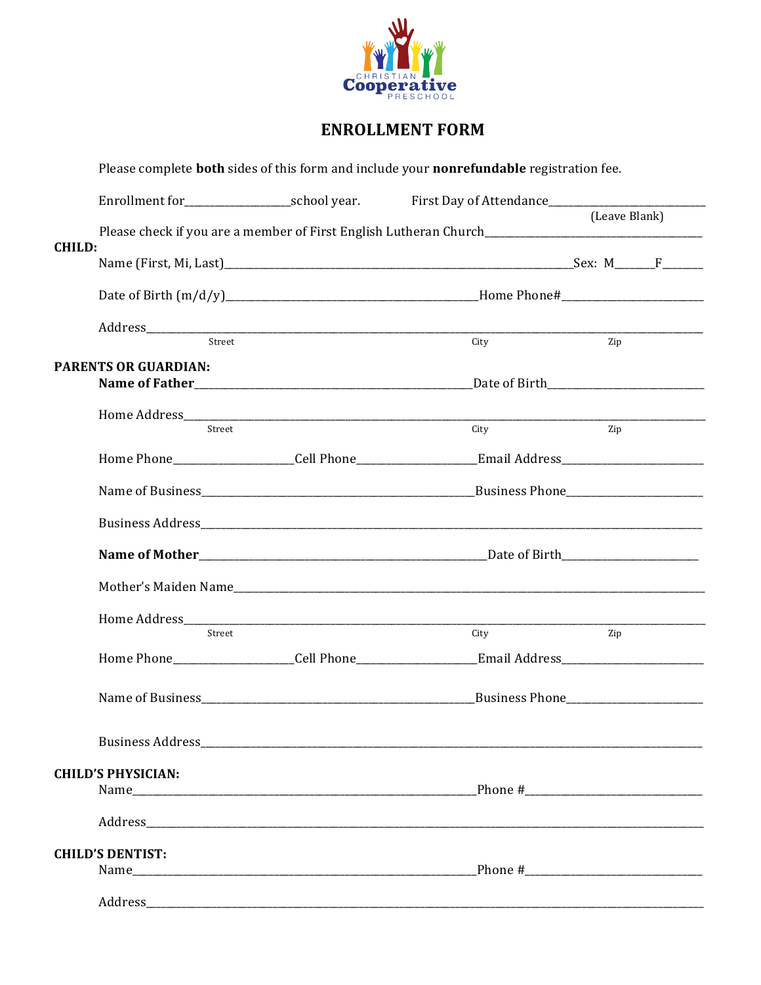

## **ENROLLMENT FORM**

|               | Please complete <b>both</b> sides of this form and include your <b>nonrefundable</b> registration fee. |  |                          |                        |  |  |
|---------------|--------------------------------------------------------------------------------------------------------|--|--------------------------|------------------------|--|--|
|               | Enrollment for________________________school year. First Day of Attendance__________________________   |  |                          |                        |  |  |
| <b>CHILD:</b> |                                                                                                        |  |                          | (Leave Blank)          |  |  |
|               |                                                                                                        |  |                          |                        |  |  |
|               |                                                                                                        |  |                          |                        |  |  |
|               | $\mbox{Address}\underline{\hspace{2cm} \mbox{Street}}$                                                 |  | $\overline{\text{City}}$ | $\frac{1}{\text{Zip}}$ |  |  |
|               | <b>PARENTS OR GUARDIAN:</b>                                                                            |  |                          |                        |  |  |
|               |                                                                                                        |  |                          |                        |  |  |
|               |                                                                                                        |  |                          |                        |  |  |
|               | Street                                                                                                 |  | City                     | Zip                    |  |  |
|               |                                                                                                        |  |                          |                        |  |  |
|               |                                                                                                        |  |                          |                        |  |  |
|               |                                                                                                        |  |                          |                        |  |  |
|               |                                                                                                        |  |                          |                        |  |  |
|               |                                                                                                        |  |                          |                        |  |  |
|               |                                                                                                        |  |                          |                        |  |  |
|               | Street                                                                                                 |  | City                     | Zip                    |  |  |
|               |                                                                                                        |  |                          |                        |  |  |
|               |                                                                                                        |  |                          |                        |  |  |
|               |                                                                                                        |  |                          |                        |  |  |
|               | <b>CHILD'S PHYSICIAN:</b>                                                                              |  |                          |                        |  |  |
|               |                                                                                                        |  |                          |                        |  |  |
|               |                                                                                                        |  |                          |                        |  |  |
|               | <b>CHILD'S DENTIST:</b>                                                                                |  |                          |                        |  |  |
|               | Name Phone #                                                                                           |  |                          |                        |  |  |
|               |                                                                                                        |  |                          |                        |  |  |